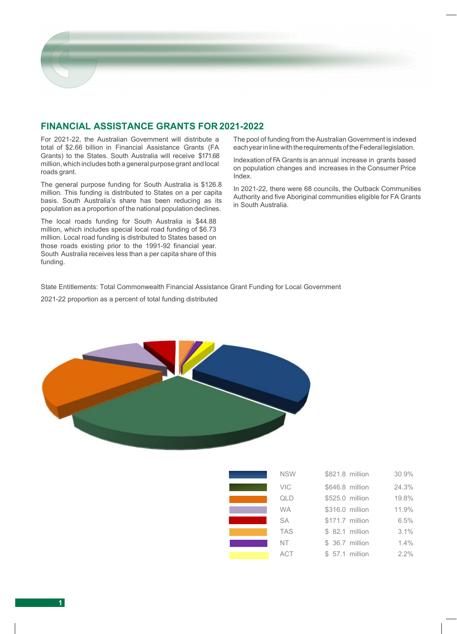

## **FINANCIAL ASSISTANCE GRANTS FOR 2021-2022**

For 2021-22, the Australian Government will distribute a total of \$2.66 billion in Financial Assistance Grants (FA Grants) to the States. South Australia will receive \$171.68 million,which includes both a general purpose grant and local roads grant.

The general purpose funding for South Australia is \$126.8 million. This funding is distributed to States on a per capita basis. South Australia's share has been reducing as its population as a proportion of the national population declines.

The local roads funding for South Australia is \$44.88 million, which includes special local road funding of \$6.73 million. Local road funding is distributed to States based on those roads existing prior to the 1991-92 financial year. South Australia receives less than a per capita share of this funding.

The pool of funding from the Australian Government is indexed each year in line with the requirements of the Federal legislation.

Indexation of FA Grants is an annual increase in grants based on population changes and increases in the Consumer Price Index.

In 2021-22, there were 68 councils, the Outback Communities Authority and five Aboriginal communities eligible for FA Grants in South Australia.

State Entitlements: Total Commonwealth Financial Assistance Grant Funding for Local Government

2021-22 proportion as a percent of total funding distributed



| <b>NSW</b> | \$821.8 million | 30.9%   |
|------------|-----------------|---------|
| VIC        | \$646.8 million | 24.3%   |
| QLD        | \$525.0 million | 19.8%   |
| <b>WA</b>  | \$316.0 million | 11.9%   |
| <b>SA</b>  | \$171.7 million | 6.5%    |
| <b>TAS</b> | \$ 82.1 million | 3.1%    |
| NT.        | \$ 36.7 million | 1.4%    |
| <b>ACT</b> | \$ 57.1 million | $2.2\%$ |
|            |                 |         |